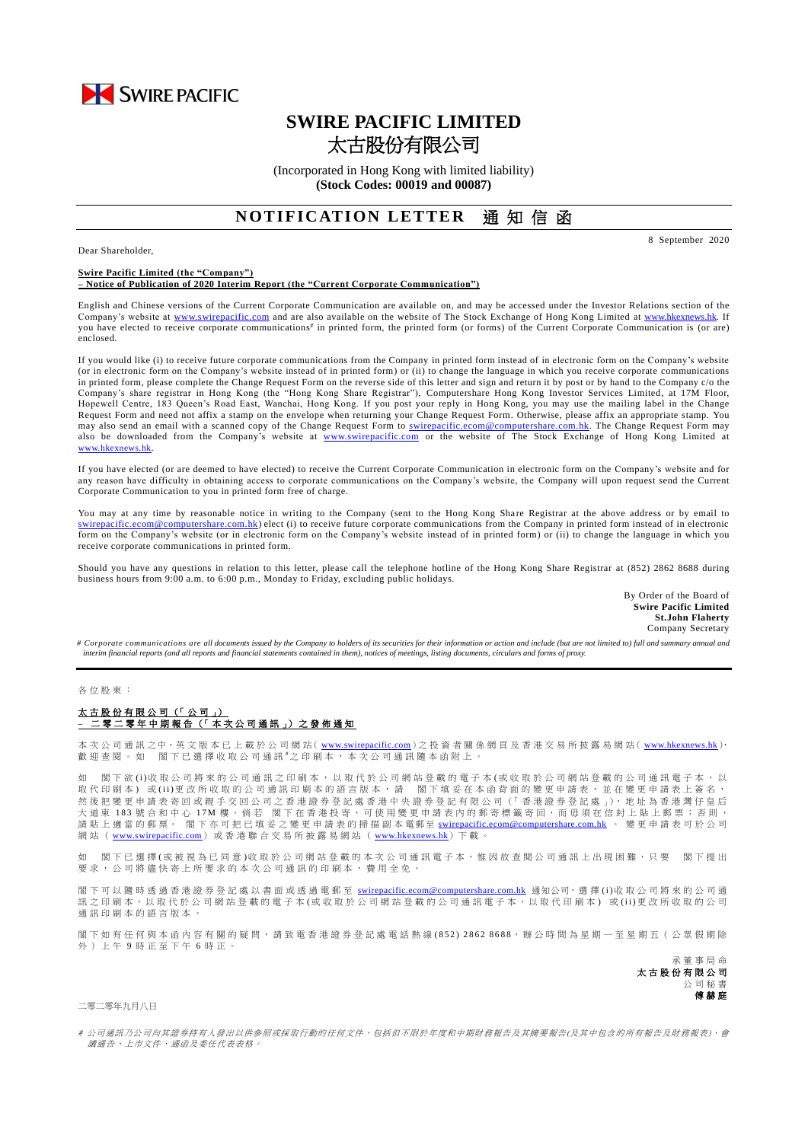

# **SWIRE PACIFIC LIMITED** 太古股份有限公司

(Incorporated in Hong Kong with limited liability) **(Stock Codes: 00019 and 00087)**

# **NOTIFICATION LETTER 通知信函**

Dear Shareholder,

8 September 2020

#### **Swire Pacific Limited (the "Company") – Notice of Publication of 2020 Interim Report (the "Current Corporate Communication")**

English and Chinese versions of the Current Corporate Communication are available on, and may be accessed under the Investor Relations section of the Company's website at [www.swirepacific.com](http://www.swirepacific.com/) and are also available on the website of The Stock Exchange of Hong Kong Limited at [www.hkexnews.hk.](http://www.hkexnews.hk/) If you have elected to receive corporate communications<sup>#</sup> in printed form, the printed form (or forms) of the Current Corporate Communication is (or are) enclosed.

If you would like (i) to receive future corporate communications from the Company in printed form instead of in electronic form on the Company's website (or in electronic form on the Company's website instead of in printed form) or (ii) to change the language in which you receive corporate communications in printed form, please complete the Change Request Form on the reverse side of this letter and sign and return it by post or by hand to the Company c/o the Company's share registrar in Hong Kong (the "Hong Kong Share Registrar"), Computershare Hong Kong Investor Services Limited, at 17M Floor, Hopewell Centre, 183 Queen's Road East, Wanchai, Hong Kong. If you post your reply in Hong Kong, you may use the mailing label in the Change Request Form and need not affix a stamp on the envelope when returning your Change Request Form. Otherwise, please affix an appropriate stamp. You may also send an email with a scanned copy of the Change Request Form to [swirepacific.ecom@computershare.com.hk.](mailto:swirepacific.ecom@computershare.com.hk) The Change Request Form may also be downloaded from the Company's website at [www.swirepacific.com](http://www.swirepacific.com/) or the website of The Stock Exchange of Hong Kong Limited at [www.hkexnews.hk](http://www.hkexnews.hk/).

If you have elected (or are deemed to have elected) to receive the Current Corporate Communication in electronic form on the Company's website and for any reason have difficulty in obtaining access to corporate communications on the Company's website, the Company will upon request send the Current Corporate Communication to you in printed form free of charge.

You may at any time by reasonable notice in writing to the Company (sent to the Hong Kong Share Registrar at the above address or by email to [swirepacific.ecom@computershare.com.hk\)](mailto:swirepacific.ecom@computershare.com.hk) elect (i) to receive future corporate communications from the Company in printed form instead of in electronic form on the Company's website (or in electronic form on the Company's website instead of in printed form) or (ii) to change the language in which you receive corporate communications in printed form.

Should you have any questions in relation to this letter, please call the telephone hotline of the Hong Kong Share Registrar at (852) 2862 8688 during business hours from 9:00 a.m. to 6:00 p.m., Monday to Friday, excluding public holidays.

> By Order of the Board of **Swire Pacific Limited St.John Flaherty** Company Secretary

*# Corporate communications are all documents issued by the Company to holders of its securities for their information or action and include (but are not limited to) full and summary annual and interim financial reports (and all reports and financial statements contained in them), notices of meetings, listing documents, circulars and forms of proxy.*

#### 各 位 股 東 :

## 太古股份有限公司 (「 公 司 」) **–** 二 零 二 零 年 中期報告 (「 本 次 公 司 通 訊 」) 之 發 佈 通 知

本 次 公 司 通 訊 之中、英 文 版 本 已 上 載 於 公 司 網 站( [www.swirepacific.com](http://www.swirepacific.com/)) 之 投 資 者 關 係 網 頁 及 香 港 交 易 所 披 露 易 網 站( [www.hkexnews.hk](http://www.hkexnews.hk/)), 歡 迎 查 閱 。 如 閣 下 已 選 擇 收 取 公 司 通 訊 \*之 印 刷 本 , 本 次 公 司 通 訊 隨 本 函 附 上 。

如 閣 下 欲 (i)收 取 公 司將 來 的 公 司 诵 訊 之 印 刷 本 , 以 取 代 於 公 司 網 站 登 載 的 雷 子 本 (或 收 取 於 公 司 網 站 登 載 的 公 司 诵 訊 雷 子 本 , 以 取代印刷本)或(ii)更改所收取的公司通訊印刷本的語言版本,請 閣下填妥在本函背面的變更申請表,並在變更申請表上簽名, 然後把變更申請表寄回或親手交回公司之香港證券登記處香港中央證券登記有限公司(「香港證券登記處」),地址為香港灣仔皇后 (本) 183 號合和中心 17M 樓。倘若 閣下在香港投寄,可使用變更申請表內的郵寄標籤寄回,而毋須在信封上貼上郵票;否則, 請 貼 上 適 當 的 郵 票。 閣下亦可把已填妥之變更申請表 的掃描副本 電郵至 [swirepacific.ecom@computershare.com.hk](mailto:swirepacific.ecom@computershare.com.hk) 。 變 更 申請表可於 公 司 網 站 ( [www.swirepacific.com](http://www.swirepacific.com/)) 或香港 聯 合 交 易 所 披 露 易 網 站 ( [www.hkexnews.hk](http://www.hkexnews.hk/))下 載 。

如 閣下已 選擇(或被視為已同意)收取於公司網站登載的本次公司通訊電子本,惟因故查閱公司通訊上出現困難,只要 閣下提出 要求, 公司將儘快寄上所要求的本次公司通訊的印刷本, 費用全免。

閣下可以 隨時 透 過 香 港 證 券 登 記 處 以 書 面 或 透 過 電 郵 至 [swirepacific.ecom@computershare.com.hk](mailto:swirepacific.ecom@computershare.com.hk) 通知公司, 選 擇 (i)收 取 公 司 將 來 的 公 司 通 訊之 印 刷 本, 以 取 代 於 公 司 網 站 登 載 的 電 子 本 ( 或 收 取 於 公 司 網 站 登 載 的 公 司 通 訊 電 子 本, 以 取 代 印 刷 本) 或 (ii)更 改 所 收 取 的 公 司 通訊印刷本的語言版本。

閣下如有任何與本函內容有關的疑問,請致電香港證券登記處電話熱線(852) 2862 8688,辦公時間為星期一至星期五(公眾假期除 外 ) 上 午 9 時 正 至 下 午 6 時正。



### 二零二零年九月八日

# 公司通訊乃公司向其證券持有人發出以供參照或採取行動的任何文件,包括但不限於年度和中期財務報告及其摘要報告(及其中包含的所有報告及財務報表)、會 議通告、上市文件、通函及委任代表表格。